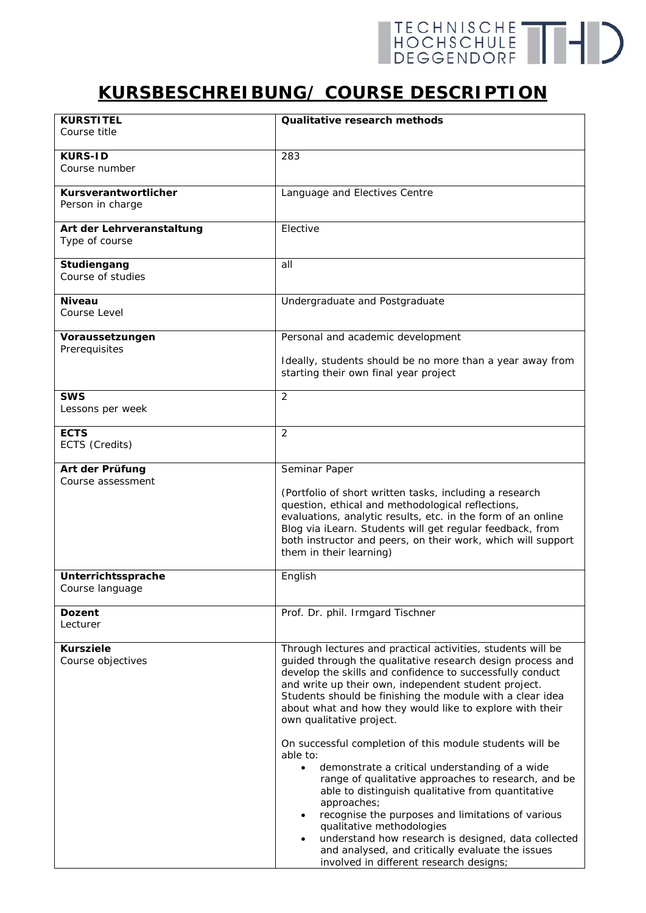## TECHNISCHE THIS

## **KURSBESCHREIBUNG/ COURSE DESCRIPTION**

| <b>KURSTITEL</b>                         | Qualitative research methods                                                                                            |
|------------------------------------------|-------------------------------------------------------------------------------------------------------------------------|
| Course title                             |                                                                                                                         |
|                                          |                                                                                                                         |
| <b>KURS-ID</b>                           | 283                                                                                                                     |
| Course number                            |                                                                                                                         |
|                                          |                                                                                                                         |
| Kursverantwortlicher<br>Person in charge | Language and Electives Centre                                                                                           |
|                                          |                                                                                                                         |
| Art der Lehrveranstaltung                | Elective                                                                                                                |
| Type of course                           |                                                                                                                         |
|                                          |                                                                                                                         |
| Studiengang                              | all                                                                                                                     |
| Course of studies                        |                                                                                                                         |
| <b>Niveau</b>                            | Undergraduate and Postgraduate                                                                                          |
| Course Level                             |                                                                                                                         |
|                                          |                                                                                                                         |
| Voraussetzungen                          | Personal and academic development                                                                                       |
| Prerequisites                            |                                                                                                                         |
|                                          | Ideally, students should be no more than a year away from                                                               |
|                                          | starting their own final year project                                                                                   |
| <b>SWS</b>                               | $\overline{2}$                                                                                                          |
| Lessons per week                         |                                                                                                                         |
|                                          |                                                                                                                         |
| <b>ECTS</b>                              | $\overline{2}$                                                                                                          |
| ECTS (Credits)                           |                                                                                                                         |
|                                          |                                                                                                                         |
| Art der Prüfung                          | Seminar Paper                                                                                                           |
| Course assessment                        | (Portfolio of short written tasks, including a research                                                                 |
|                                          | question, ethical and methodological reflections,                                                                       |
|                                          | evaluations, analytic results, etc. in the form of an online                                                            |
|                                          | Blog via iLearn. Students will get regular feedback, from                                                               |
|                                          | both instructor and peers, on their work, which will support                                                            |
|                                          | them in their learning)                                                                                                 |
| Unterrichtssprache                       | English                                                                                                                 |
| Course language                          |                                                                                                                         |
|                                          |                                                                                                                         |
| <b>Dozent</b>                            | Prof. Dr. phil. Irmgard Tischner                                                                                        |
| Lecturer                                 |                                                                                                                         |
|                                          |                                                                                                                         |
| <b>Kursziele</b>                         | Through lectures and practical activities, students will be                                                             |
| Course objectives                        | guided through the qualitative research design process and<br>develop the skills and confidence to successfully conduct |
|                                          | and write up their own, independent student project.                                                                    |
|                                          | Students should be finishing the module with a clear idea                                                               |
|                                          | about what and how they would like to explore with their                                                                |
|                                          | own qualitative project.                                                                                                |
|                                          |                                                                                                                         |
|                                          | On successful completion of this module students will be<br>able to:                                                    |
|                                          | demonstrate a critical understanding of a wide<br>$\bullet$                                                             |
|                                          | range of qualitative approaches to research, and be                                                                     |
|                                          | able to distinguish qualitative from quantitative                                                                       |
|                                          | approaches;                                                                                                             |
|                                          | recognise the purposes and limitations of various                                                                       |
|                                          | qualitative methodologies                                                                                               |
|                                          | understand how research is designed, data collected<br>$\bullet$<br>and analysed, and critically evaluate the issues    |
|                                          | involved in different research designs;                                                                                 |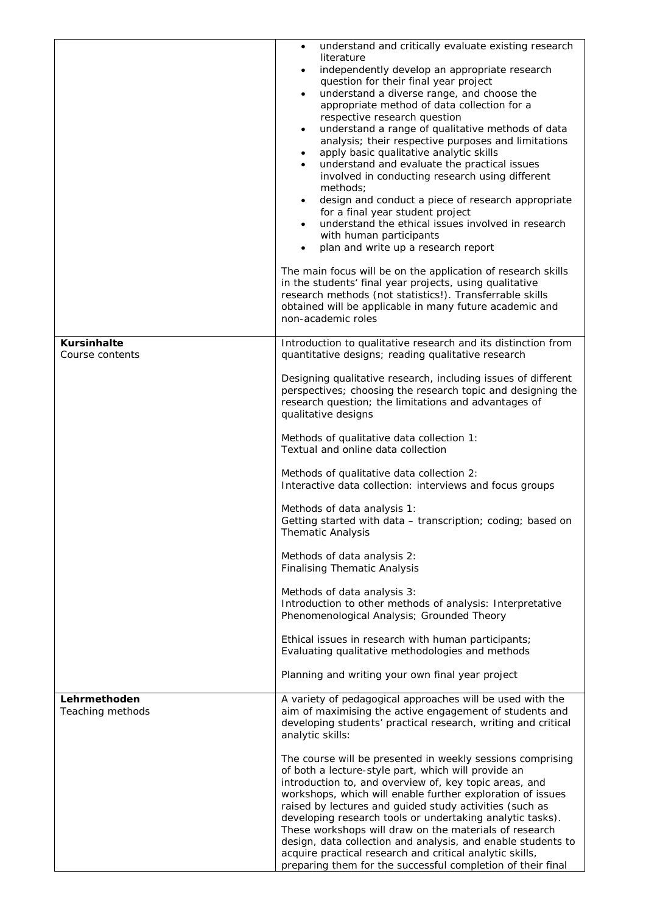|                                       | understand and critically evaluate existing research<br>literature<br>independently develop an appropriate research<br>$\bullet$<br>question for their final year project<br>understand a diverse range, and choose the<br>$\bullet$<br>appropriate method of data collection for a<br>respective research question<br>understand a range of qualitative methods of data<br>$\bullet$<br>analysis; their respective purposes and limitations<br>apply basic qualitative analytic skills<br>$\bullet$<br>understand and evaluate the practical issues<br>$\bullet$<br>involved in conducting research using different<br>methods;<br>design and conduct a piece of research appropriate<br>$\bullet$<br>for a final year student project<br>understand the ethical issues involved in research<br>$\bullet$<br>with human participants<br>plan and write up a research report<br>The main focus will be on the application of research skills<br>in the students' final year projects, using qualitative<br>research methods (not statistics!). Transferrable skills<br>obtained will be applicable in many future academic and<br>non-academic roles |
|---------------------------------------|------------------------------------------------------------------------------------------------------------------------------------------------------------------------------------------------------------------------------------------------------------------------------------------------------------------------------------------------------------------------------------------------------------------------------------------------------------------------------------------------------------------------------------------------------------------------------------------------------------------------------------------------------------------------------------------------------------------------------------------------------------------------------------------------------------------------------------------------------------------------------------------------------------------------------------------------------------------------------------------------------------------------------------------------------------------------------------------------------------------------------------------------------|
| <b>Kursinhalte</b><br>Course contents | Introduction to qualitative research and its distinction from<br>quantitative designs; reading qualitative research<br>Designing qualitative research, including issues of different<br>perspectives; choosing the research topic and designing the<br>research question; the limitations and advantages of<br>qualitative designs<br>Methods of qualitative data collection 1:<br>Textual and online data collection<br>Methods of qualitative data collection 2:<br>Interactive data collection: interviews and focus groups<br>Methods of data analysis 1:<br>Getting started with data - transcription; coding; based on<br><b>Thematic Analysis</b>                                                                                                                                                                                                                                                                                                                                                                                                                                                                                             |
|                                       | Methods of data analysis 2:<br><b>Finalising Thematic Analysis</b><br>Methods of data analysis 3:<br>Introduction to other methods of analysis: Interpretative<br>Phenomenological Analysis; Grounded Theory<br>Ethical issues in research with human participants;<br>Evaluating qualitative methodologies and methods<br>Planning and writing your own final year project                                                                                                                                                                                                                                                                                                                                                                                                                                                                                                                                                                                                                                                                                                                                                                          |
| Lehrmethoden<br>Teaching methods      | A variety of pedagogical approaches will be used with the<br>aim of maximising the active engagement of students and<br>developing students' practical research, writing and critical<br>analytic skills:<br>The course will be presented in weekly sessions comprising<br>of both a lecture-style part, which will provide an<br>introduction to, and overview of, key topic areas, and<br>workshops, which will enable further exploration of issues<br>raised by lectures and guided study activities (such as<br>developing research tools or undertaking analytic tasks).<br>These workshops will draw on the materials of research<br>design, data collection and analysis, and enable students to<br>acquire practical research and critical analytic skills,<br>preparing them for the successful completion of their final                                                                                                                                                                                                                                                                                                                  |